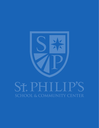

# ST. PH. П **SCHOOL & COMMUNITY CENTER**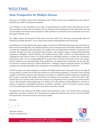# **welcome**

## **Dear Prospective St. Philip's Parent,**

Welcome to St. Philip's School and Community Center. Thank you for your consideration of our school to establish your child's educational foundation.

At St. Philip's, we are committed to our vision of transforming the world by faith, education and service. This commitment starts with our students. We are focused on the development of the mind, body and soul of each student. Our Christ-centered mission to offer excellence in academics and in community service sets the stage for all that we do.

Our highly trained and energetic faculty knows that the world is the classroom, and through high-tech classroom and field exposures, we are empowering minds to think globally and to think big!

All students, pre-K through seventh grade, engage in advanced, differentiated learning that meets them at their current knowledge base. Our standards-based, cross-curricular lessons that build confidence and help to stretch the imagination takes learning to new heights. The curriculum fosters freedom of expression and creativity through art, music, and project-based learning. The students' hands-on inquiry-based learning experiences strengthen critical thinking and problem-solving skills: whether our kindergartners are exploring the issue of food-waste or our sixth-graders are cultivating solutions to combat our community's food dessert status. We are working diligently to prepare them to become forerunners of the 21st century, with an emphasis on servant leadership. Upon graduation, our students know whose they are and who they are, because we believe that their "Destiny Starts Here." Seeking to inspire and ignite purpose, St. Philip's graduates develop life-long habits and commitments to scholarliness, spirituality, and service.

In order to make a true determination as to whether St. Philip's School and Community Center is the right fit for your family, we invite you to learn more about our school and ask questions. In response to the evolving conditions of COVID-19 and out of an abundance of caution, our admissions office will operate virtually this fall. In order to prioritize the health and safety of our students and community, we will not be able to offer campus tours or in-person visits at this time. However, our admissions team is seeking new and innovative ways to share the great things happening at St. Philip's. We will continue working diligently to execute our mission of making an unparalleled education accessible to families. Until we can meet in person, please review the information provided and let's get to know each other virtually.

We appreciate your interest in St. Philip's School and Community Center. Our school receives numerous applications and space is limited. We encourage you to begin the admission process now and to be mindful of required dates. We look forward to serving your family.

Sincerely,

*Darnetta Forteau Director of Admissions*

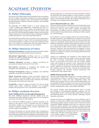# **Academic Overview**

### **St. Philip's Philosophy**

The mission of St. Philip's School and Community Center is to enhance the lives of children and families regardless of economic background but with particular emphasis on low- and moderate-income families, through educational excellence, Christian principles, and compatible community services.

The philosophy of St. Philip's School is to accept students from a range of abilities and backgrounds, recognizing each child as a unique creation entitled to love, respect, and opportunities for safe and challenging passage through the early years. The school's small class sizes and varied educational techniques enhance and develop the unique learning style of each child and aims to install and strengthen qualities that promote a secure and responsible adult life.

The philosophical grounding of the community center programing is with an aim to prepare vs. repair. There is an intentional attempt to avoid programing that is corrective in nature. The community center takes on an approach of collaboration with like-minded entities to attract services that meet the needs of our area residents.

### **St. Philip's Statement of Values**

**Educational Excellence:** providing the strongest possible academic background and the richest possible academic experience

**Educational Opportunity:** providing access to an excellent education for children including those for whom such access would not otherwise be possible financially

**Christian Education:** providing a religious environment for personal growth shaped by the spirit of Jesus Christ

**Self Esteem:** maintaining an atmosphere that develops and strengthens each individual's sense of self worth

**Personal Development:** helping to strengthen each individual spiritually, emotionally, and intellectually

**Ethnic Awareness:** helping to foster and nurture cultural and ethnic awareness and pride bridging racial barriers: teaching and demonstrating the value of diversity in the community and teaching the humanity and brotherhood of all people

**Community:** working to impact and improve the lives of people through social services, enrichment programs, and recreational activities with special focus on low- and moderate-income families

### **St. Philip's Academic Overview**

#### **Early Childhood (Pre-K2 through Kindergarten)**

The Early Childhood department educates children from prekindergarten through kindergarten (ages range from two through six years of age. The classes are self-contained.

The overall Early Childhood program is directly connected to the mission of the school to strive to transform the lives of children and families. Families are encouraged to be an integral part of the classroom experience through various volunteer opportunities and academic support responsibilities.

The goal of the program is to provide students with a comprehensive curriculum and a dynamic preschool experience while preparing them in the following developmental areas: language, communication, math, science, critical thinking, social, emotional and physical development.

Learning takes place in a nurturing environment designed to educate the whole child. The students engage in a variety of hands-on activities and lessons across all academic areas while being encouraged to explore, create and think critically. The teaching methodology evolves and adapts to the changing needs of the students.

#### **Lower School (Grades 1st - 5th )**

The Lower School educates students from first through third grade. Students move between two core subject teachers, one teaches math and science, while the other teaches Language Arts-Reading and Social Studies. In addition to the core content areas, students travel to other teachers for specialized classes including Art, Music, Spanish, P.E., and Technology.

Lower School is a time of explosive growth. The program builds on the skills mastered in early childhood by focusing on more formal/ traditional study and independence. Hands-on learning activities and centers are consistently incorporated, but they are fused with other traditional methods for teaching and learning. The classroom consists of a more structured learning environment. Students spend more time at desks and/or tables, and the amount of direct instruction is increased. Classroom rules and instruction are designed to ensure appropriate routines and materials are used and followed. Learning activities are designed to promote critical thinking skills that become habitual and automatic.

Teachers use methodology and materials to help students learn information accurately and more rapidly. Learners are taken through the steps of learning systematically and intentionally, helping them to see the purpose and result of each step. Teachers explain exactly what students are expected to learn, demonstrate the steps needed to accomplish the task, and provide opportunities for useful practice. Students are motivated to examine the information, learn the vocabulary, memorize the rules, and recite the material learned. Through repetition and narration, students demonstrate their comprehension of the subject matter.

#### **Middle School (Grades 6th-7th)**

The goal of the Middle School Program is to provide academic and social foundation needed to transition from an elementary school environment into a larger and more independent setting. The platform of the program strives to foster growing independence and accountability. Students are taught to be curious and seek knowledge through the many opportunities they have that transform them into curious, compassionate, creative, and confident individuals.

The program includes small departmentalized classes in grades four through six. Communications (Reading, Language Arts, and Writing), Math, Science, and Social Studies make up the core classes with additional classes in Art, Music, Spanish, Technology, Physical Education, and Library.

Activities and lessons are established to meet the individual needs of students at varied levels of ability while promoting critical thinking and fostering problem solving. Teachers work to ensure that lessons incorporate multiple intelligences and allow for creativity as well as verbal and written expression. The program is enhanced through research projects, the infusion of Fine Arts and Technology within core class instruction, and team building games and activities. Students gain a clear understanding that learning involves the interweaving of all

content areas. This idea is made more concrete as the students engage in an interdisciplinary project in the spring of the 6th grade year.

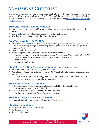# **Admissions Checklist**

The Office of Admission receives numerous applications each year. To ensure an optimal outcome with the process, please use this checklist and the Admission Calendar to submit all required documents by established deadlines. View this list online: [https://www.stphilips1600.org/](https://www.stphilips1600.org/admissions/apply.cfm ) [admissions/apply.cfm](https://www.stphilips1600.org/admissions/apply.cfm )

## **Step One - Visit St. Philip's Virtually**

- ► Please view our [virtual tour](https://www.stphilips1600.org/admissions/visit.cfm) and learn more about our [graduate profile](https://www.stphilips1600.org/academics/graduateprofile.cfm) until we can meet in person.
- ► Click [here](https://www.stphilips1600.org/admissions/visit.cfm) to visit our virtual office hours or schedule a phone call
- ► Schedule an in-person tour with the Admissions team

## **Step Two - Apply to St. Philip's**

- ► Submit the [online application](https://sps-tx.client.renweb.com/oa/register.cfm?memberid=99) *(Please Note: In order to be eligible for the Pre-K2 class, your child must be two years old by August 1st, prior to the start of the school year. Please call if you have any questions about this policy.)*
- $\blacktriangleright$  Pay the application fee (\$75)
- ► Return supplemental Admission forms to the Admission Office
	- Teacher Evaluation Form *(please submit to licensed daycare or school for completion, if applicable)*
	- Records Release Form *(required for 1st-6th, please submit to current school)*
	- Birth Certificate
	- Immunization Records

### **Step Three - Tuition Assistance (Optional)** *(see tuition assistance handout)*

- ► Submit online Tuition Assistance application in [FACTS](https://online.factsmgt.com/signin/3FBFX)
- ► Submit supporting documentation—refer to FACTS application for specific documentation requirements

*Tip: Your tuition assistance application should be completed simultaneously with your application to receive a timely decision.* 

### **Step Four - Student Assessment**

- ► Virtual Assessment (Instructions provided & scheduled by Office of Admission)
	- For Pre-K2 & Pre-K3: Video Submission
- ► In-Person Assessment (Scheduled by Office of Admission)
	- For Pre-K4-7th grade: In-Person Admission Testing

### **Step Five - Parent Interview (Virtual)**

► Attend Virtual Interview Session *(Scheduled by Admission Office)*

### **Step Six - Acceptance**

- ► Return enrollment contract by deadline
- ► Pay tuition deposit
- ► Set up [FACTS](https://online.factsmgt.com/signin/3FBFX) account

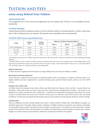# **Tuition and Fees**

## **2022-2023 School Year Tuition**

### **APPLICATION FEE**

A \$75 application fee is due at the time of application for new students only. This fee is non-refundable and nontransferable.

### **TUITION DEPOSIT**

A \$250 deposit and the enrollment contract are due by February 28th for returning students or within 10 days from date of offer of admission for new students. The deposit is non-refundable and non-transferable.

| Grade                | <b>Tuition</b><br>$Cost*$ | <b>Tuition</b><br><b>Deposit</b> | <b>Balance of Tuition Payment Options**</b> |               |                                      |
|----------------------|---------------------------|----------------------------------|---------------------------------------------|---------------|--------------------------------------|
|                      |                           |                                  | Plan A                                      | <b>Plan B</b> | <b>Plan C</b><br>(12 Months May-Apr) |
| Pre-K - Kindergarten | 10,054                    | 250                              | 9,554                                       | 4,902         | 817.00                               |
| 1st - 3rd            | 10,710                    | 250                              | 10,210                                      | 5,230         | 871.66                               |
| $4th - 6th$          | 11,044                    | 250                              | 10,544                                      | 5,397         | 899.50                               |
| 7th                  | 11,500                    | 250                              | 11,000                                      | 5,625         | 937.60                               |

#### **TUITION COST (2022-2023 School Year)**

*\*Actual tuition cost per year at St. Philip's is approximately \$18,500. The above numbers reflect your reduced cost made possible by fundraising initiatives.* 

*\*\*PLEASE NOTE: For late enrollees (enrollment contracts completed after March 2022) the monthly amount will be slightly higher as the payment cycle will still end in April 2023 and will be spread over fewer months. A \$500 tuition deposit is due for new or returning students who enroll after August 1st. All tuition and fees are Non-Refundable.*

#### **SIBLING DISCOUNT**

An \$800 discount is applied toward the tuition of younger siblings when more than one sibling is enrolled.

#### **RETURNING STUDENT DISCOUNT**

A \$100 discount is applied toward the tuition of returning students whose re-enrollment is complete by February 28th. To be eligible, families must have completed the re-enrollment online packet, paid the Tuition Deposit, and have an active FACTS account.

#### **BEFORE AND AFTER CARE**

St. Philip's School & Community Center offers a Before and After School Care Program. After Care Only = \$1,300; Before Care Only \$800. When both services are chosen at the same time a \$300 discount will apply (total of \$1800). The discount is not applied if one is chosen and then the other is added later. A student may be added after the beginning of the school year as long as space is available before the second week of school. For this reason, it is advised to choose before and/or after care during enrollment. A student may be dropped from the program mid-year only and the cost of the program will be pro-rated accordingly.

#### **OTHER COSTS**

There are additional costs that a family typically incurs when a student attends St. Philip's that, while difficult to quantify, you should be made aware of. Examples of these include 1) Uniforms. St. Philip's students are required to wear uniforms and families are responsible for the purchase. Generally, the cost of one full set of uniforms for a new student can total around \$200. A limited number of used uniforms sold at a discounted price are available in the Spirit Shop on campus during our summer sales. 2) School Supplies. For various projects and presentations, students are required to provide their own supplies.

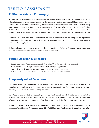# **Tuition Assistance**

## **Tuition Assistance Philosophy**

St. Philip's School and Community Center has a need-based tuition assistance policy. For a school our size, we award a substantial amount of tuition assistance each year. Our admission decisions are made need-blind, without regard to a family's financial situation. We believe no qualified student should be denied enrollment because his or her family cannot afford tuition. It is also important to remember that an independent school education is a choice for families. Both the school and the families make significant financial sacrifices to support this choice. We review each application for tuition assistance by the same guidelines and evaluate individual family needs relative to others in our school.

Distribution of Tuition Assistance is based on need. It takes into consideration income, family size and any unusual circumstances. All students are eligible to be considered for tuition assistance with the submission of a complete tuition assistance application.

Online applications for tuition assistance are reviewed by the Tuition Assistance Committee; a calculation from FACTS Management is used in determining the amount of the award.

## **Tuition Assistance Checklist**

- Complete the online Tuition Assistance application in FACTS by February 1st, 2022 for priority consideration. FACTS charges a \$30 online fee for processing the application.
- Submit all required supporting documentation to FACTS by February 1st, 2022.
- Tuition Assistance Awards will be mailed with Admission Decisions in March 2022.

## **Frequently Asked Questions**

*Do I have to reapply every year?* Yes. Because a family's financial situation may change from year to year, the committee requires all current tuition assistance recipients to reapply each year. The amount of the award may vary depending on the circumstances of the family and school.

**Do I have to pay the Tuition Deposit if I receive Tuition Assistance?** Yes. The amount of the tuition deposit will be \$250. Since it is a Deposit and not a Fee, the amount of your deposit will be applied to your tuition balance, thereby reducing the amount that will need to be paid by you during the Tuition Payment Plan year.

*Whom do I contact if I have further questions?* **Please contact Business Office 214-421-5221 or email** admissions@stphilips.com. You may also speak with a FACTS Customer Care Representative at 1-866- 315-9262.

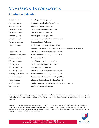# **Admission Information**

## **[Admission Calendar](https://www.stphilips1600.org/admissions/admission_calendar.cfm)**

| October 14, 2021          | Virtual Open House - 5:30 p.m.                                                           |
|---------------------------|------------------------------------------------------------------------------------------|
| November 1, 2021          | New Student Application Opens Online                                                     |
| November 11, 2021         | Admission Preview - 8:00 a.m.                                                            |
| December 1, 2022          | <b>Tuition Assistance Application Opens</b>                                              |
| December 15, 2022         | Admission Preview - 8:00 a.m.                                                            |
| January 11, 2022          | Virtual Open House - 5:30 p.m.                                                           |
| January 14, 2022          | <b>Application Deadline for Priority Enrollment</b>                                      |
| January 17-19, 2022       | <b>Returning Family TA Review</b>                                                        |
| January 21, 2022          | Supplemental Admission Documents Due                                                     |
|                           | (Teacher Evaluation Form, Records Release Form, Birth Certificate, Immunization Records) |
| January 22, 2022          | Admission Testing (Scheduled by Admission Office)                                        |
| January 26-Feb 1, 2022    | Parent Interview (Scheduled by Admission Office)                                         |
| February 1, 2022          | Re-enrollment Open                                                                       |
| February 11, 2022         | <b>Second Priority Application Deadline</b>                                              |
| February 15, 2022         | <b>Tuition Assistance Application Deadline</b>                                           |
| February 16-18, 2022      | <b>Returning Family TA Review</b>                                                        |
| February 19, 2022         | Admission Testing (Scheduled by Admission Office)                                        |
| February 23-March 1, 2022 | Parent Interview (Scheduled by Admission Office)                                         |
| February 28, 2022         | Re-enrollment Contract & Tuition Deposit Due                                             |
| March 11, 2022            | Admission Decision Letter Emailed (Phase I)                                              |
| March 25, 2022            | Enrollment Contract & Tuition Deposit Due (New Families)                                 |
| March 29, 2022            | Admission Preview - 8:00 a.m.                                                            |

The application process is ongoing, however dates outside of the priority enrollment process are subject to space availability. As a result, your admission may be placed on a waiting list and there may be limited tuition assistance available.

*It is the policy of St. Philip's School & Community Center to administer its educational programs, including admission and financial aid, without discrimination, condonation, or condemnation in regard to race, color, religion, gender, sexual orientation, national or ethnic origin, or disability. For more information regarding our application process or tuition assistance, please contact the Office of Admission at 214.421.5221 ext. 156 or email admissions@stphilips.com.*